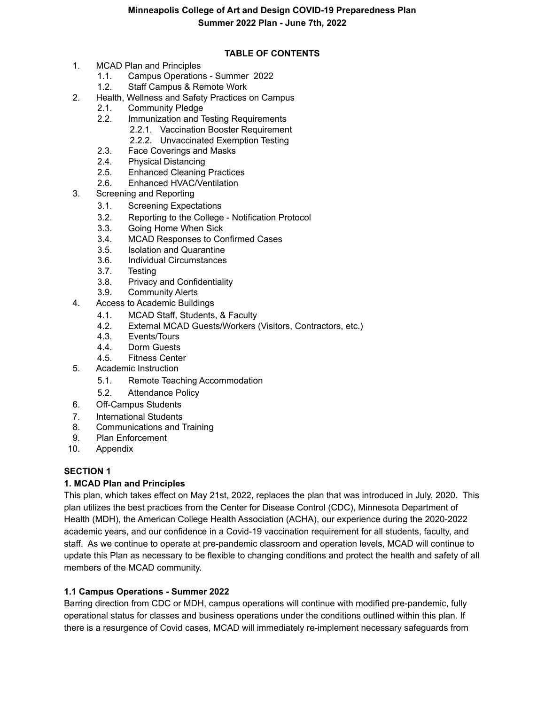# **TABLE OF CONTENTS**

- 1. MCAD Plan and Principles
	- 1.1. Campus Operations Summer 2022
	- 1.2. Staff Campus & Remote Work
- 2. Health, Wellness and Safety Practices on Campus
	- 2.1. Community Pledge
	- 2.2. Immunization and Testing Requirements
		- 2.2.1. Vaccination Booster Requirement
		- 2.2.2. Unvaccinated Exemption Testing
	- 2.3. Face Coverings and Masks
	- 2.4. Physical Distancing
	- 2.5. Enhanced Cleaning Practices
	- 2.6. Enhanced HVAC/Ventilation
- 3. Screening and Reporting
	- 3.1. Screening Expectations
	- 3.2. Reporting to the College Notification Protocol
	- 3.3. Going Home When Sick
	- 3.4. MCAD Responses to Confirmed Cases
	- 3.5. Isolation and Quarantine
	- 3.6. Individual Circumstances
	- 3.7. Testing
	- 3.8. Privacy and Confidentiality
	- 3.9. Community Alerts
- 4. Access to Academic Buildings
	- 4.1. MCAD Staff, Students, & Faculty
	- 4.2. External MCAD Guests/Workers (Visitors, Contractors, etc.)
	- 4.3. Events/Tours
	- 4.4. Dorm Guests
	- 4.5. Fitness Center
- 5. Academic Instruction
	- 5.1. Remote Teaching Accommodation
	- 5.2. Attendance Policy
- 6. Off-Campus Students
- 7. International Students
- 8. Communications and Training
- 9. Plan Enforcement
- 10. Appendix

#### **SECTION 1**

# **1. MCAD Plan and Principles**

This plan, which takes effect on May 21st, 2022, replaces the plan that was introduced in July, 2020. This plan utilizes the best practices from the Center for Disease Control (CDC), Minnesota Department of Health (MDH), the American College Health Association (ACHA), our experience during the 2020-2022 academic years, and our confidence in a Covid-19 vaccination requirement for all students, faculty, and staff. As we continue to operate at pre-pandemic classroom and operation levels, MCAD will continue to update this Plan as necessary to be flexible to changing conditions and protect the health and safety of all members of the MCAD community.

# **1.1 Campus Operations - Summer 2022**

Barring direction from CDC or MDH, campus operations will continue with modified pre-pandemic, fully operational status for classes and business operations under the conditions outlined within this plan. If there is a resurgence of Covid cases, MCAD will immediately re-implement necessary safeguards from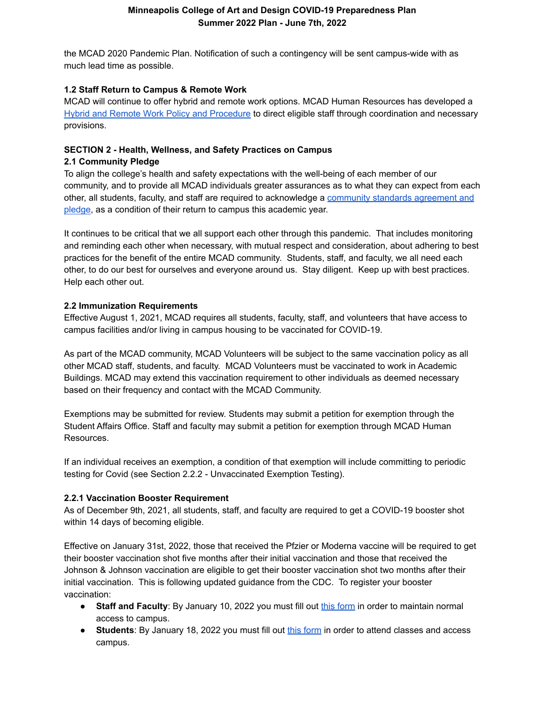the MCAD 2020 Pandemic Plan. Notification of such a contingency will be sent campus-wide with as much lead time as possible.

#### **1.2 Staff Return to Campus & Remote Work**

MCAD will continue to offer hybrid and remote work options. MCAD Human Resources has developed [a](https://docs.google.com/document/d/1C4o3Px3DGAnspz5aglep3d6SyhlquyRMIXLR7xzNzRM/edit) Hybrid and Remote Work Policy and [Procedure](https://docs.google.com/document/d/1C4o3Px3DGAnspz5aglep3d6SyhlquyRMIXLR7xzNzRM/edit) to direct eligible staff through coordination and necessary provisions.

# **SECTION 2 - Health, Wellness, and Safety Practices on Campus**

#### **2.1 Community Pledge**

To align the college's health and safety expectations with the well-being of each member of our community, and to provide all MCAD individuals greater assurances as to what they can expect from each other, all students, faculty, and staff are required to acknowledge a [community](https://intranet.mcad.edu/sites/default/files/docs/20210809-mcads_shared_pledge_for_personal_and_community_safety-fall_2021.pdf) standards agreement and [pledge](https://intranet.mcad.edu/sites/default/files/docs/20210809-mcads_shared_pledge_for_personal_and_community_safety-fall_2021.pdf), as a condition of their return to campus this academic year.

It continues to be critical that we all support each other through this pandemic. That includes monitoring and reminding each other when necessary, with mutual respect and consideration, about adhering to best practices for the benefit of the entire MCAD community. Students, staff, and faculty, we all need each other, to do our best for ourselves and everyone around us. Stay diligent. Keep up with best practices. Help each other out.

# **2.2 Immunization Requirements**

Effective August 1, 2021, MCAD requires all students, faculty, staff, and volunteers that have access to campus facilities and/or living in campus housing to be vaccinated for COVID-19.

As part of the MCAD community, MCAD Volunteers will be subject to the same vaccination policy as all other MCAD staff, students, and faculty. MCAD Volunteers must be vaccinated to work in Academic Buildings. MCAD may extend this vaccination requirement to other individuals as deemed necessary based on their frequency and contact with the MCAD Community.

Exemptions may be submitted for review. Students may submit a petition for exemption through the Student Affairs Office. Staff and faculty may submit a petition for exemption through MCAD Human Resources.

If an individual receives an exemption, a condition of that exemption will include committing to periodic testing for Covid (see Section 2.2.2 - Unvaccinated Exemption Testing).

# **2.2.1 Vaccination Booster Requirement**

As of December 9th, 2021, all students, staff, and faculty are required to get a COVID-19 booster shot within 14 days of becoming eligible.

Effective on January 31st, 2022, those that received the Pfzier or Moderna vaccine will be required to get their booster vaccination shot five months after their initial vaccination and those that received the Johnson & Johnson vaccination are eligible to get their booster vaccination shot two months after their initial vaccination. This is following updated guidance from the CDC. To register your booster vaccination:

- **Staff and Faculty**: By January 10, 2022 you must fill out this [form](https://forms.gle/fryK6onE12c7Jzu57) in order to maintain normal access to campus.
- **Students**: By January 18, 2022 you must fill out this [form](https://my.mcad.edu/ICS/Student_Life/) in order to attend classes and access campus.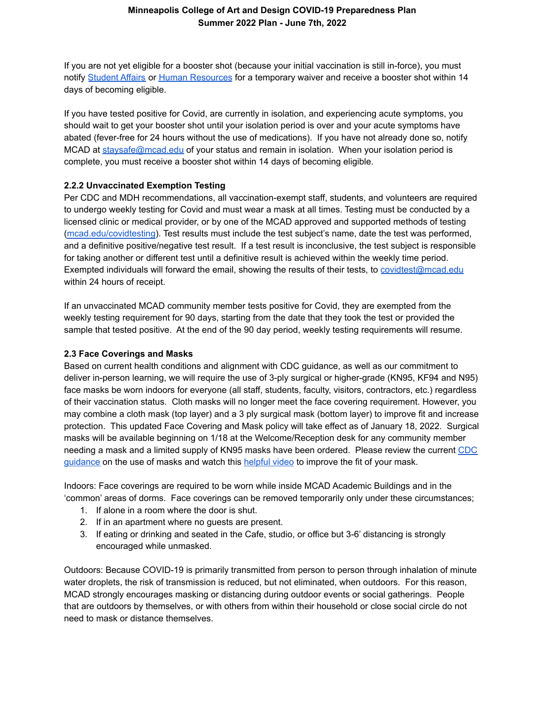If you are not yet eligible for a booster shot (because your initial vaccination is still in-force), you must notify [Student](mailto:student_affairs@mcad.edu) Affairs or Human [Resources](mailto:human_resources@mcad.edu) for a temporary waiver and receive a booster shot within 14 days of becoming eligible.

If you have tested positive for Covid, are currently in isolation, and experiencing acute symptoms, you should wait to get your booster shot until your isolation period is over and your acute symptoms have abated (fever-free for 24 hours without the use of medications). If you have not already done so, notify MCAD at [staysafe@mcad.edu](mailto:staysafe@mcad.edu) of your status and remain in isolation. When your isolation period is complete, you must receive a booster shot within 14 days of becoming eligible.

#### **2.2.2 Unvaccinated Exemption Testing**

Per CDC and MDH recommendations, all vaccination-exempt staff, students, and volunteers are required to undergo weekly testing for Covid and must wear a mask at all times. Testing must be conducted by a licensed clinic or medical provider, or by one of the MCAD approved and supported methods of testing [\(mcad.edu/covidtesting\)](https://docs.google.com/document/d/1d7m_3OhXLvkbvO_fbnG_n2mJNHjaL2cHiEf-9qiuNWM/edit). Test results must include the test subject's name, date the test was performed, and a definitive positive/negative test result. If a test result is inconclusive, the test subject is responsible for taking another or different test until a definitive result is achieved within the weekly time period. Exempted individuals will forward the email, showing the results of their tests, to [covidtest@mcad.edu](mailto:covidtest@mcad.edu) within 24 hours of receipt.

If an unvaccinated MCAD community member tests positive for Covid, they are exempted from the weekly testing requirement for 90 days, starting from the date that they took the test or provided the sample that tested positive. At the end of the 90 day period, weekly testing requirements will resume.

#### **2.3 Face Coverings and Masks**

Based on current health conditions and alignment with CDC guidance, as well as our commitment to deliver in-person learning, we will require the use of 3-ply surgical or higher-grade (KN95, KF94 and N95) face masks be worn indoors for everyone (all staff, students, faculty, visitors, contractors, etc.) regardless of their vaccination status. Cloth masks will no longer meet the face covering requirement. However, you may combine a cloth mask (top layer) and a 3 ply surgical mask (bottom layer) to improve fit and increase protection. This updated Face Covering and Mask policy will take effect as of January 18, 2022. Surgical masks will be available beginning on 1/18 at the Welcome/Reception desk for any community member needing a mask and a limited supply of KN95 masks have been ordered. Please review the current [CDC](https://www.cdc.gov/coronavirus/2019-ncov/your-health/effective-masks.html) [guidance](https://www.cdc.gov/coronavirus/2019-ncov/your-health/effective-masks.html) on the use of masks and watch this [helpful](https://www.youtube.com/watch?v=GzTAZDsNBe0) video to improve the fit of your mask.

Indoors: Face coverings are required to be worn while inside MCAD Academic Buildings and in the 'common' areas of dorms. Face coverings can be removed temporarily only under these circumstances;

- 1. If alone in a room where the door is shut.
- 2. If in an apartment where no guests are present.
- 3. If eating or drinking and seated in the Cafe, studio, or office but 3-6' distancing is strongly encouraged while unmasked.

Outdoors: Because COVID-19 is primarily transmitted from person to person through inhalation of minute water droplets, the risk of transmission is reduced, but not eliminated, when outdoors. For this reason, MCAD strongly encourages masking or distancing during outdoor events or social gatherings. People that are outdoors by themselves, or with others from within their household or close social circle do not need to mask or distance themselves.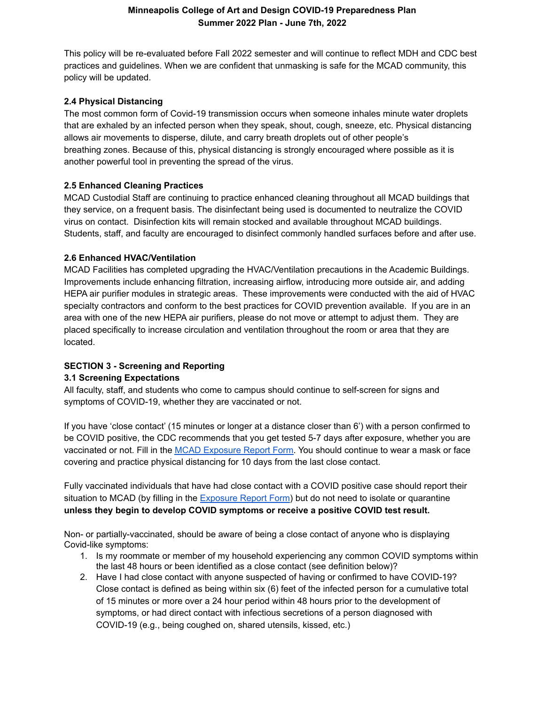This policy will be re-evaluated before Fall 2022 semester and will continue to reflect MDH and CDC best practices and guidelines. When we are confident that unmasking is safe for the MCAD community, this policy will be updated.

#### **2.4 Physical Distancing**

The most common form of Covid-19 transmission occurs when someone inhales minute water droplets that are exhaled by an infected person when they speak, shout, cough, sneeze, etc. Physical distancing allows air movements to disperse, dilute, and carry breath droplets out of other people's breathing zones. Because of this, physical distancing is strongly encouraged where possible as it is another powerful tool in preventing the spread of the virus.

# **2.5 Enhanced Cleaning Practices**

MCAD Custodial Staff are continuing to practice enhanced cleaning throughout all MCAD buildings that they service, on a frequent basis. The disinfectant being used is documented to neutralize the COVID virus on contact. Disinfection kits will remain stocked and available throughout MCAD buildings. Students, staff, and faculty are encouraged to disinfect commonly handled surfaces before and after use.

#### **2.6 Enhanced HVAC/Ventilation**

MCAD Facilities has completed upgrading the HVAC/Ventilation precautions in the Academic Buildings. Improvements include enhancing filtration, increasing airflow, introducing more outside air, and adding HEPA air purifier modules in strategic areas. These improvements were conducted with the aid of HVAC specialty contractors and conform to the best practices for COVID prevention available. If you are in an area with one of the new HEPA air purifiers, please do not move or attempt to adjust them. They are placed specifically to increase circulation and ventilation throughout the room or area that they are located.

# **SECTION 3 - Screening and Reporting**

#### **3.1 Screening Expectations**

All faculty, staff, and students who come to campus should continue to self-screen for signs and symptoms of COVID-19, whether they are vaccinated or not.

If you have 'close contact' (15 minutes or longer at a distance closer than 6') with a person confirmed to be COVID positive, the CDC recommends that you get tested 5-7 days after exposure, whether you are vaccinated or not. Fill in the MCAD [Exposure](https://docs.google.com/forms/d/1L9r__Y8E3u1xdnJvDQ22ireDojfuCrDlt6gEZJ71zqg/edit) Report Form. You should continue to wear a mask or face covering and practice physical distancing for 10 days from the last close contact.

Fully vaccinated individuals that have had close contact with a COVID positive case should report their situation to MCAD (by filling in the [Exposure](https://docs.google.com/forms/d/1L9r__Y8E3u1xdnJvDQ22ireDojfuCrDlt6gEZJ71zqg/edit) Report Form) but do not need to isolate or quarantine **unless they begin to develop COVID symptoms or receive a positive COVID test result.**

Non- or partially-vaccinated, should be aware of being a close contact of anyone who is displaying Covid-like symptoms:

- 1. Is my roommate or member of my household experiencing any common COVID symptoms within the last 48 hours or been identified as a close contact (see definition below)?
- 2. Have I had close contact with anyone suspected of having or confirmed to have COVID-19? Close contact is defined as being within six (6) feet of the infected person for a cumulative total of 15 minutes or more over a 24 hour period within 48 hours prior to the development of symptoms, or had direct contact with infectious secretions of a person diagnosed with COVID-19 (e.g., being coughed on, shared utensils, kissed, etc.)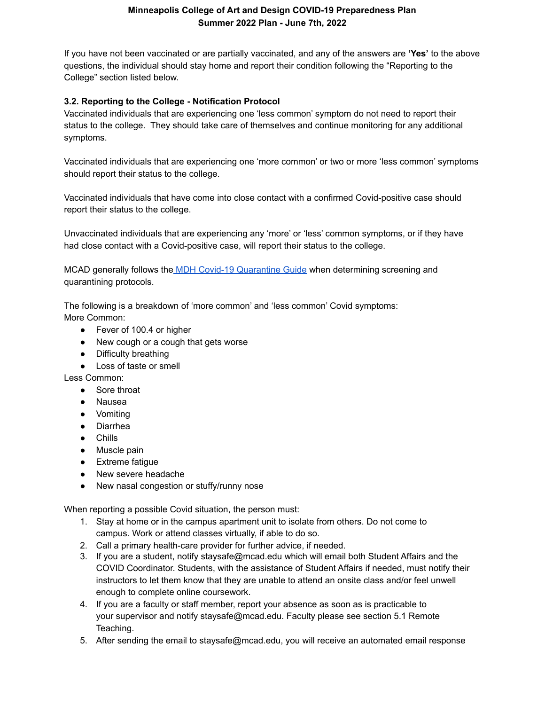If you have not been vaccinated or are partially vaccinated, and any of the answers are **'Yes'** to the above questions, the individual should stay home and report their condition following the "Reporting to the College" section listed below.

## **3.2. Reporting to the College - Notification Protocol**

Vaccinated individuals that are experiencing one 'less common' symptom do not need to report their status to the college. They should take care of themselves and continue monitoring for any additional symptoms.

Vaccinated individuals that are experiencing one 'more common' or two or more 'less common' symptoms should report their status to the college.

Vaccinated individuals that have come into close contact with a confirmed Covid-positive case should report their status to the college.

Unvaccinated individuals that are experiencing any 'more' or 'less' common symptoms, or if they have had close contact with a Covid-positive case, will report their status to the college.

MCAD generally follows the MDH Covid-19 [Quarantine](https://www.health.state.mn.us/diseases/coronavirus/schools/youthquar.pdf) Guide when determining screening and quarantining protocols.

The following is a breakdown of 'more common' and 'less common' Covid symptoms: More Common:

- Fever of 100.4 or higher
- New cough or a cough that gets worse
- Difficulty breathing
- Loss of taste or smell

Less Common:

- Sore throat
- Nausea
- Vomiting
- Diarrhea
- Chills
- Muscle pain
- Extreme fatigue
- New severe headache
- New nasal congestion or stuffy/runny nose

When reporting a possible Covid situation, the person must:

- 1. Stay at home or in the campus apartment unit to isolate from others. Do not come to campus. Work or attend classes virtually, if able to do so.
- 2. Call a primary health-care provider for further advice, if needed.
- 3. If you are a student, notify staysafe@mcad.edu which will email both Student Affairs and the COVID Coordinator. Students, with the assistance of Student Affairs if needed, must notify their instructors to let them know that they are unable to attend an onsite class and/or feel unwell enough to complete online coursework.
- 4. If you are a faculty or staff member, report your absence as soon as is practicable to your supervisor and notify staysafe@mcad.edu. Faculty please see section 5.1 Remote Teaching.
- 5. After sending the email to staysafe@mcad.edu, you will receive an automated email response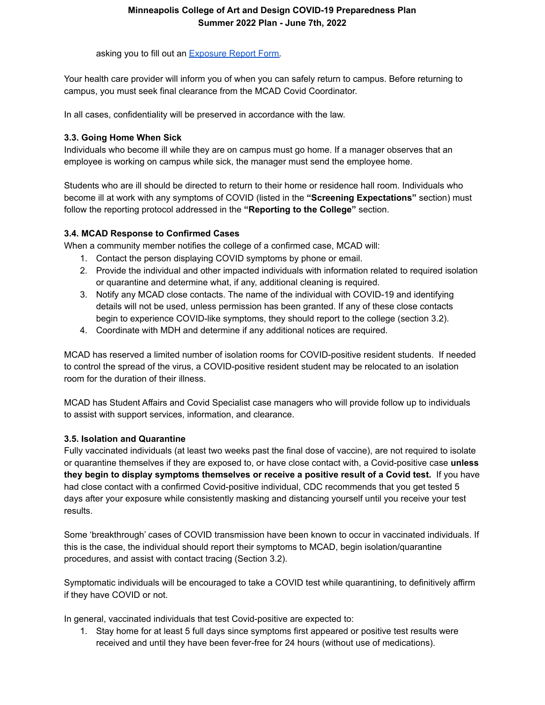asking you to fill out an **[Exposure](https://docs.google.com/forms/d/1L9r__Y8E3u1xdnJvDQ22ireDojfuCrDlt6gEZJ71zqg/edit) Report Form.** 

Your health care provider will inform you of when you can safely return to campus. Before returning to campus, you must seek final clearance from the MCAD Covid Coordinator.

In all cases, confidentiality will be preserved in accordance with the law.

## **3.3. Going Home When Sick**

Individuals who become ill while they are on campus must go home. If a manager observes that an employee is working on campus while sick, the manager must send the employee home.

Students who are ill should be directed to return to their home or residence hall room. Individuals who become ill at work with any symptoms of COVID (listed in the **"Screening Expectations"** section) must follow the reporting protocol addressed in the **"Reporting to the College"** section.

#### **3.4. MCAD Response to Confirmed Cases**

When a community member notifies the college of a confirmed case, MCAD will:

- 1. Contact the person displaying COVID symptoms by phone or email.
- 2. Provide the individual and other impacted individuals with information related to required isolation or quarantine and determine what, if any, additional cleaning is required.
- 3. Notify any MCAD close contacts. The name of the individual with COVID-19 and identifying details will not be used, unless permission has been granted. If any of these close contacts begin to experience COVID-like symptoms, they should report to the college (section 3.2).
- 4. Coordinate with MDH and determine if any additional notices are required.

MCAD has reserved a limited number of isolation rooms for COVID-positive resident students. If needed to control the spread of the virus, a COVID-positive resident student may be relocated to an isolation room for the duration of their illness.

MCAD has Student Affairs and Covid Specialist case managers who will provide follow up to individuals to assist with support services, information, and clearance.

# **3.5. Isolation and Quarantine**

Fully vaccinated individuals (at least two weeks past the final dose of vaccine), are not required to isolate or quarantine themselves if they are exposed to, or have close contact with, a Covid-positive case **unless they begin to display symptoms themselves or receive a positive result of a Covid test.** If you have had close contact with a confirmed Covid-positive individual, CDC recommends that you get tested 5 days after your exposure while consistently masking and distancing yourself until you receive your test results.

Some 'breakthrough' cases of COVID transmission have been known to occur in vaccinated individuals. If this is the case, the individual should report their symptoms to MCAD, begin isolation/quarantine procedures, and assist with contact tracing (Section 3.2).

Symptomatic individuals will be encouraged to take a COVID test while quarantining, to definitively affirm if they have COVID or not.

In general, vaccinated individuals that test Covid-positive are expected to:

1. Stay home for at least 5 full days since symptoms first appeared or positive test results were received and until they have been fever-free for 24 hours (without use of medications).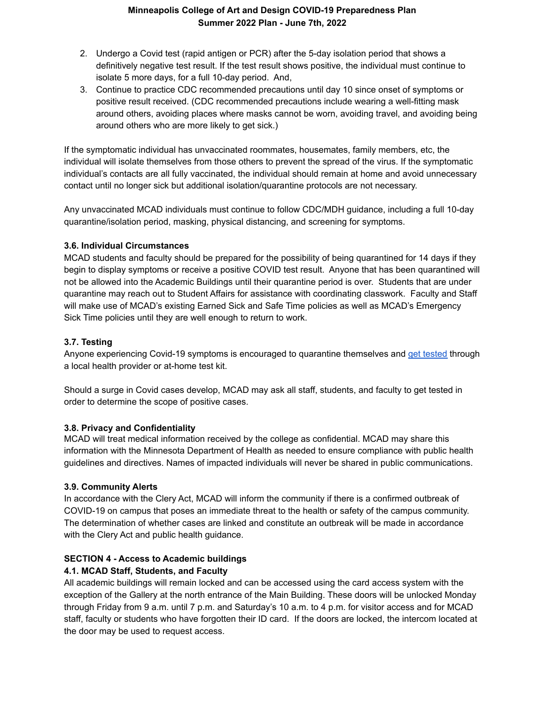- 2. Undergo a Covid test (rapid antigen or PCR) after the 5-day isolation period that shows a definitively negative test result. If the test result shows positive, the individual must continue to isolate 5 more days, for a full 10-day period. And,
- 3. Continue to practice CDC recommended precautions until day 10 since onset of symptoms or positive result received. (CDC recommended precautions include wearing a well-fitting mask around others, avoiding places where masks cannot be worn, avoiding travel, and avoiding being around others who are more likely to get sick.)

If the symptomatic individual has unvaccinated roommates, housemates, family members, etc, the individual will isolate themselves from those others to prevent the spread of the virus. If the symptomatic individual's contacts are all fully vaccinated, the individual should remain at home and avoid unnecessary contact until no longer sick but additional isolation/quarantine protocols are not necessary.

Any unvaccinated MCAD individuals must continue to follow CDC/MDH guidance, including a full 10-day quarantine/isolation period, masking, physical distancing, and screening for symptoms.

#### **3.6. Individual Circumstances**

MCAD students and faculty should be prepared for the possibility of being quarantined for 14 days if they begin to display symptoms or receive a positive COVID test result. Anyone that has been quarantined will not be allowed into the Academic Buildings until their quarantine period is over. Students that are under quarantine may reach out to Student Affairs for assistance with coordinating classwork. Faculty and Staff will make use of MCAD's existing Earned Sick and Safe Time policies as well as MCAD's Emergency Sick Time policies until they are well enough to return to work.

#### **3.7. Testing**

Anyone experiencing Covid-19 symptoms is encouraged to quarantine themselves and get [tested](https://mn.gov/covid19/get-tested/testing-locations/index.jsp) through a local health provider or at-home test kit.

Should a surge in Covid cases develop, MCAD may ask all staff, students, and faculty to get tested in order to determine the scope of positive cases.

# **3.8. Privacy and Confidentiality**

MCAD will treat medical information received by the college as confidential. MCAD may share this information with the Minnesota Department of Health as needed to ensure compliance with public health guidelines and directives. Names of impacted individuals will never be shared in public communications.

# **3.9. Community Alerts**

In accordance with the Clery Act, MCAD will inform the community if there is a confirmed outbreak of COVID-19 on campus that poses an immediate threat to the health or safety of the campus community. The determination of whether cases are linked and constitute an outbreak will be made in accordance with the Clery Act and public health guidance.

#### **SECTION 4 - Access to Academic buildings**

# **4.1. MCAD Staff, Students, and Faculty**

All academic buildings will remain locked and can be accessed using the card access system with the exception of the Gallery at the north entrance of the Main Building. These doors will be unlocked Monday through Friday from 9 a.m. until 7 p.m. and Saturday's 10 a.m. to 4 p.m. for visitor access and for MCAD staff, faculty or students who have forgotten their ID card. If the doors are locked, the intercom located at the door may be used to request access.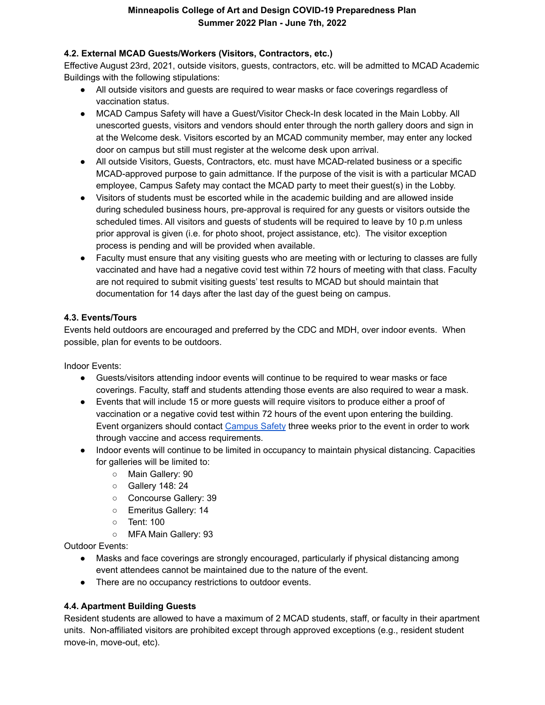# **4.2. External MCAD Guests/Workers (Visitors, Contractors, etc.)**

Effective August 23rd, 2021, outside visitors, guests, contractors, etc. will be admitted to MCAD Academic Buildings with the following stipulations:

- All outside visitors and guests are required to wear masks or face coverings regardless of vaccination status.
- MCAD Campus Safety will have a Guest/Visitor Check-In desk located in the Main Lobby. All unescorted guests, visitors and vendors should enter through the north gallery doors and sign in at the Welcome desk. Visitors escorted by an MCAD community member, may enter any locked door on campus but still must register at the welcome desk upon arrival.
- All outside Visitors, Guests, Contractors, etc. must have MCAD-related business or a specific MCAD-approved purpose to gain admittance. If the purpose of the visit is with a particular MCAD employee, Campus Safety may contact the MCAD party to meet their guest(s) in the Lobby.
- Visitors of students must be escorted while in the academic building and are allowed inside during scheduled business hours, pre-approval is required for any guests or visitors outside the scheduled times. All visitors and guests of students will be required to leave by 10 p.m unless prior approval is given (i.e. for photo shoot, project assistance, etc). The visitor exception process is pending and will be provided when available.
- Faculty must ensure that any visiting guests who are meeting with or lecturing to classes are fully vaccinated and have had a negative covid test within 72 hours of meeting with that class. Faculty are not required to submit visiting guests' test results to MCAD but should maintain that documentation for 14 days after the last day of the guest being on campus.

#### **4.3. Events/Tours**

Events held outdoors are encouraged and preferred by the CDC and MDH, over indoor events. When possible, plan for events to be outdoors.

Indoor Events:

- Guests/visitors attending indoor events will continue to be required to wear masks or face coverings. Faculty, staff and students attending those events are also required to wear a mask.
- Events that will include 15 or more guests will require visitors to produce either a proof of vaccination or a negative covid test within 72 hours of the event upon entering the building. Event organizers should contact [Campus](mailto:campus_safety@mcad.edu) Safety three weeks prior to the event in order to work through vaccine and access requirements.
- Indoor events will continue to be limited in occupancy to maintain physical distancing. Capacities for galleries will be limited to:
	- Main Gallery: 90
	- Gallery 148: 24
	- Concourse Gallery: 39
	- Emeritus Gallery: 14
	- Tent: 100
	- MFA Main Gallery: 93

Outdoor Events:

- Masks and face coverings are strongly encouraged, particularly if physical distancing among event attendees cannot be maintained due to the nature of the event.
- There are no occupancy restrictions to outdoor events.

# **4.4. Apartment Building Guests**

Resident students are allowed to have a maximum of 2 MCAD students, staff, or faculty in their apartment units. Non-affiliated visitors are prohibited except through approved exceptions (e.g., resident student move-in, move-out, etc).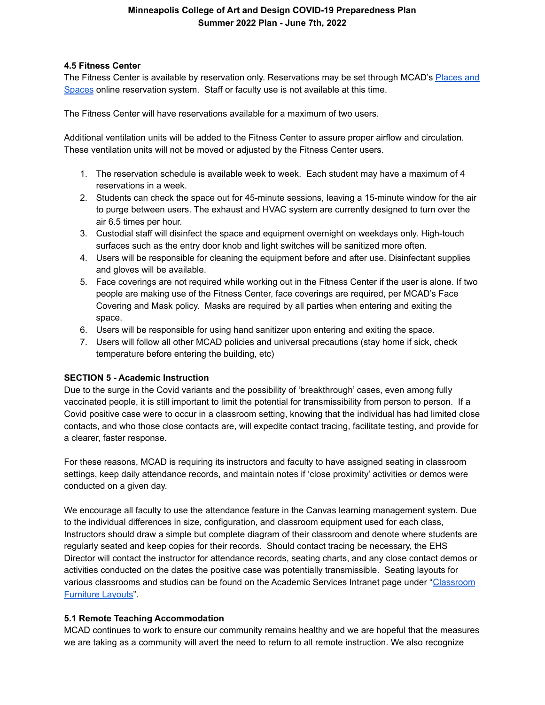#### **4.5 Fitness Center**

The Fitness Center is available by reservation only. Reservations may be set through MCAD's [Places](https://pas.mcad.edu/) and [Spaces](https://pas.mcad.edu/) online reservation system. Staff or faculty use is not available at this time.

The Fitness Center will have reservations available for a maximum of two users.

Additional ventilation units will be added to the Fitness Center to assure proper airflow and circulation. These ventilation units will not be moved or adjusted by the Fitness Center users.

- 1. The reservation schedule is available week to week. Each student may have a maximum of 4 reservations in a week.
- 2. Students can check the space out for 45-minute sessions, leaving a 15-minute window for the air to purge between users. The exhaust and HVAC system are currently designed to turn over the air 6.5 times per hour.
- 3. Custodial staff will disinfect the space and equipment overnight on weekdays only. High-touch surfaces such as the entry door knob and light switches will be sanitized more often.
- 4. Users will be responsible for cleaning the equipment before and after use. Disinfectant supplies and gloves will be available.
- 5. Face coverings are not required while working out in the Fitness Center if the user is alone. If two people are making use of the Fitness Center, face coverings are required, per MCAD's Face Covering and Mask policy. Masks are required by all parties when entering and exiting the space.
- 6. Users will be responsible for using hand sanitizer upon entering and exiting the space.
- 7. Users will follow all other MCAD policies and universal precautions (stay home if sick, check temperature before entering the building, etc)

#### **SECTION 5 - Academic Instruction**

Due to the surge in the Covid variants and the possibility of 'breakthrough' cases, even among fully vaccinated people, it is still important to limit the potential for transmissibility from person to person. If a Covid positive case were to occur in a classroom setting, knowing that the individual has had limited close contacts, and who those close contacts are, will expedite contact tracing, facilitate testing, and provide for a clearer, faster response.

For these reasons, MCAD is requiring its instructors and faculty to have assigned seating in classroom settings, keep daily attendance records, and maintain notes if 'close proximity' activities or demos were conducted on a given day.

We encourage all faculty to use the attendance feature in the Canvas learning management system. Due to the individual differences in size, configuration, and classroom equipment used for each class, Instructors should draw a simple but complete diagram of their classroom and denote where students are regularly seated and keep copies for their records. Should contact tracing be necessary, the EHS Director will contact the instructor for attendance records, seating charts, and any close contact demos or activities conducted on the dates the positive case was potentially transmissible. Seating layouts for various classrooms and studios can be found on the Academic Services Intranet page under "[Classroom](https://drive.google.com/drive/folders/1rK3hR6HD2_UDLATxXmX_vrx0Sf-nS4AJ?usp=sharing) [Furniture](https://drive.google.com/drive/folders/1rK3hR6HD2_UDLATxXmX_vrx0Sf-nS4AJ?usp=sharing) Layouts".

# **5.1 Remote Teaching Accommodation**

MCAD continues to work to ensure our community remains healthy and we are hopeful that the measures we are taking as a community will avert the need to return to all remote instruction. We also recognize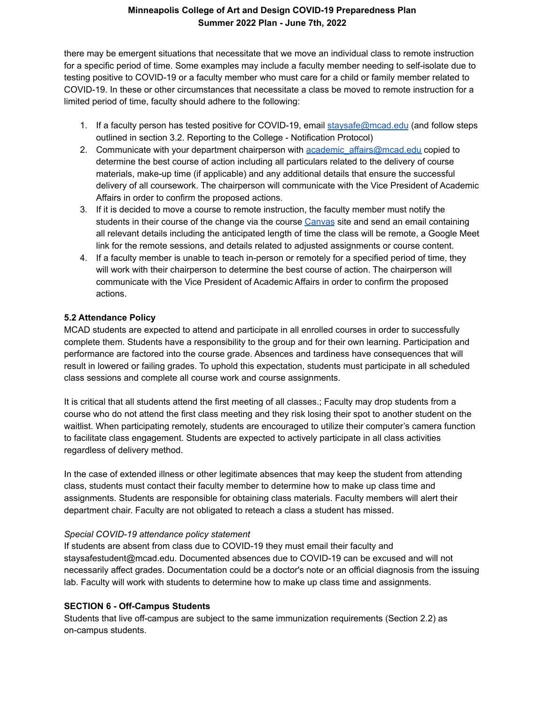there may be emergent situations that necessitate that we move an individual class to remote instruction for a specific period of time. Some examples may include a faculty member needing to self-isolate due to testing positive to COVID-19 or a faculty member who must care for a child or family member related to COVID-19. In these or other circumstances that necessitate a class be moved to remote instruction for a limited period of time, faculty should adhere to the following:

- 1. If a faculty person has tested positive for COVID-19, email [staysafe@mcad.edu](mailto:staysafestaff@mcad.edu) (and follow steps outlined in section 3.2. Reporting to the College - Notification Protocol)
- 2. Communicate with your department chairperson with academic affairs@mcad.edu copied to determine the best course of action including all particulars related to the delivery of course materials, make-up time (if applicable) and any additional details that ensure the successful delivery of all coursework. The chairperson will communicate with the Vice President of Academic Affairs in order to confirm the proposed actions.
- 3. If it is decided to move a course to remote instruction, the faculty member must notify the students in their course of the change via the course [Canvas](https://learn.mcad.edu/) site and send an email containing all relevant details including the anticipated length of time the class will be remote, a Google Meet link for the remote sessions, and details related to adjusted assignments or course content.
- 4. If a faculty member is unable to teach in-person or remotely for a specified period of time, they will work with their chairperson to determine the best course of action. The chairperson will communicate with the Vice President of Academic Affairs in order to confirm the proposed actions.

#### **5.2 Attendance Policy**

MCAD students are expected to attend and participate in all enrolled courses in order to successfully complete them. Students have a responsibility to the group and for their own learning. Participation and performance are factored into the course grade. Absences and tardiness have consequences that will result in lowered or failing grades. To uphold this expectation, students must participate in all scheduled class sessions and complete all course work and course assignments.

It is critical that all students attend the first meeting of all classes.; Faculty may drop students from a course who do not attend the first class meeting and they risk losing their spot to another student on the waitlist. When participating remotely, students are encouraged to utilize their computer's camera function to facilitate class engagement. Students are expected to actively participate in all class activities regardless of delivery method.

In the case of extended illness or other legitimate absences that may keep the student from attending class, students must contact their faculty member to determine how to make up class time and assignments. Students are responsible for obtaining class materials. Faculty members will alert their department chair. Faculty are not obligated to reteach a class a student has missed.

#### *Special COVID-19 attendance policy statement*

If students are absent from class due to COVID-19 they must email their faculty and staysafestudent@mcad.edu. Documented absences due to COVID-19 can be excused and will not necessarily affect grades. Documentation could be a doctor's note or an official diagnosis from the issuing lab. Faculty will work with students to determine how to make up class time and assignments.

#### **SECTION 6 - Off-Campus Students**

Students that live off-campus are subject to the same immunization requirements (Section 2.2) as on-campus students.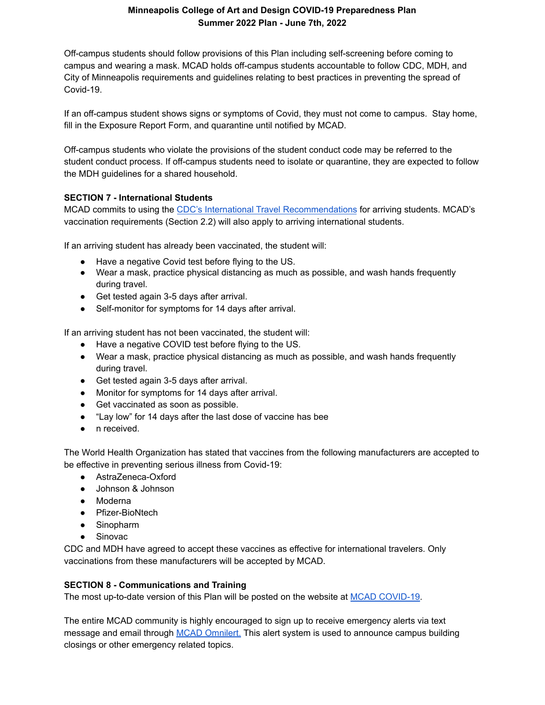Off-campus students should follow provisions of this Plan including self-screening before coming to campus and wearing a mask. MCAD holds off-campus students accountable to follow CDC, MDH, and City of Minneapolis requirements and guidelines relating to best practices in preventing the spread of Covid-19.

If an off-campus student shows signs or symptoms of Covid, they must not come to campus. Stay home, fill in the Exposure Report Form, and quarantine until notified by MCAD.

Off-campus students who violate the provisions of the student conduct code may be referred to the student conduct process. If off-campus students need to isolate or quarantine, they are expected to follow the MDH guidelines for a shared household.

# **SECTION 7 - International Students**

MCAD commits to using the CDC's International Travel [Recommendations](https://www.cdc.gov/coronavirus/2019-ncov/travelers/international-travel-during-covid19.html) for arriving students. MCAD's vaccination requirements (Section 2.2) will also apply to arriving international students.

If an arriving student has already been vaccinated, the student will:

- Have a negative Covid test before flying to the US.
- Wear a mask, practice physical distancing as much as possible, and wash hands frequently during travel.
- Get tested again 3-5 days after arrival.
- Self-monitor for symptoms for 14 days after arrival.

If an arriving student has not been vaccinated, the student will:

- Have a negative COVID test before flying to the US.
- Wear a mask, practice physical distancing as much as possible, and wash hands frequently during travel.
- Get tested again 3-5 days after arrival.
- Monitor for symptoms for 14 days after arrival.
- Get vaccinated as soon as possible.
- "Lay low" for 14 days after the last dose of vaccine has bee
- n received.

The World Health Organization has stated that vaccines from the following manufacturers are accepted to be effective in preventing serious illness from Covid-19:

- AstraZeneca-Oxford
- Johnson & Johnson
- Moderna
- Pfizer-BioNtech
- Sinopharm
- Sinovac

CDC and MDH have agreed to accept these vaccines as effective for international travelers. Only vaccinations from these manufacturers will be accepted by MCAD.

#### **SECTION 8 - Communications and Training**

The most up-to-date version of this Plan will be posted on the website at MCAD [COVID-19](https://www.mcad.edu/covid-19).

The entire MCAD community is highly encouraged to sign up to receive emergency alerts via text message and email through MCAD [Omnilert.](https://mcad.omnilert.net/subscriber.php) This alert system is used to announce campus building closings or other emergency related topics.